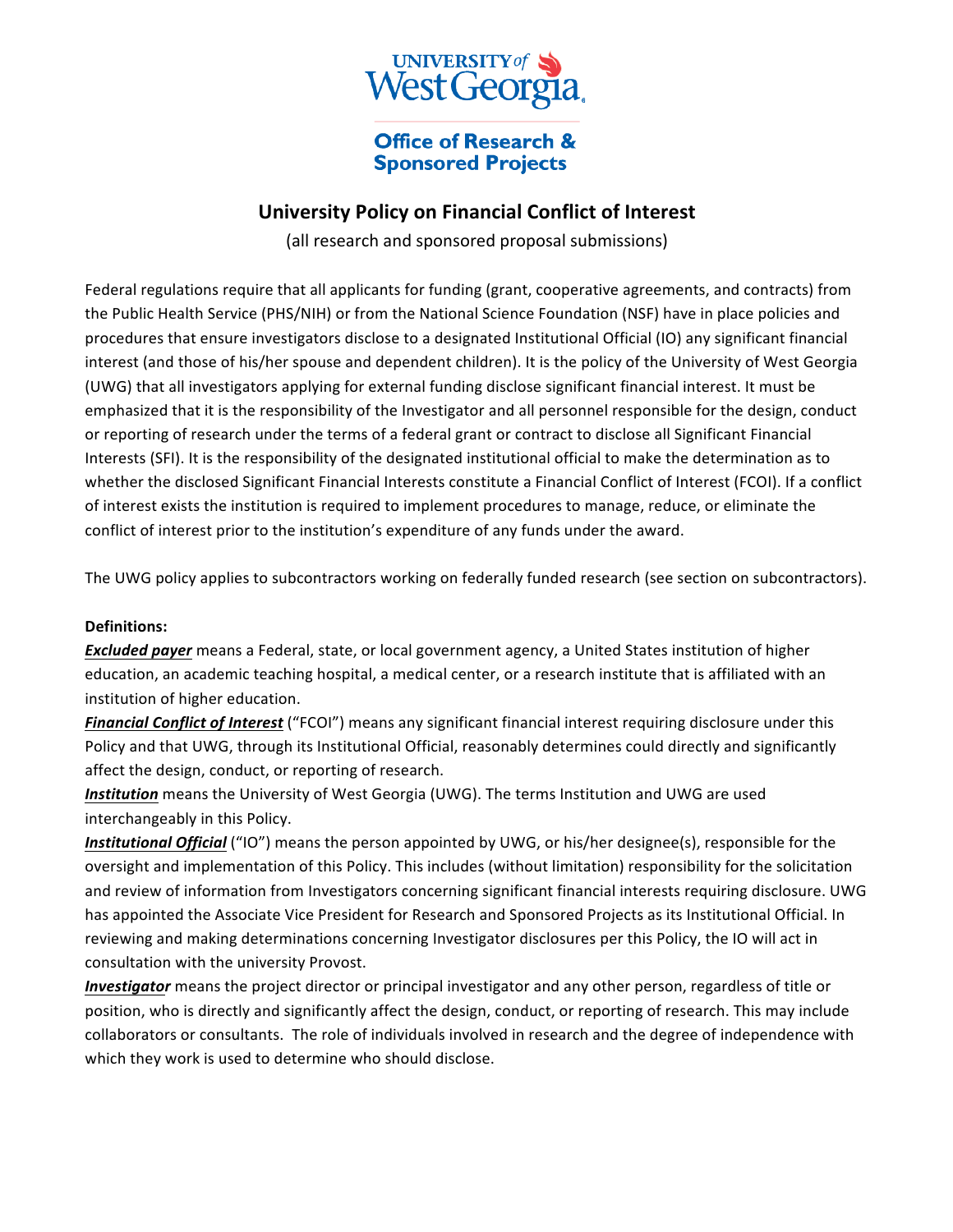

## **Office of Research & Sponsored Projects**

# **University Policy on Financial Conflict of Interest**

(all research and sponsored proposal submissions)

Federal regulations require that all applicants for funding (grant, cooperative agreements, and contracts) from the Public Health Service (PHS/NIH) or from the National Science Foundation (NSF) have in place policies and procedures that ensure investigators disclose to a designated Institutional Official (IO) any significant financial interest (and those of his/her spouse and dependent children). It is the policy of the University of West Georgia (UWG) that all investigators applying for external funding disclose significant financial interest. It must be emphasized that it is the responsibility of the Investigator and all personnel responsible for the design, conduct or reporting of research under the terms of a federal grant or contract to disclose all Significant Financial Interests (SFI). It is the responsibility of the designated institutional official to make the determination as to whether the disclosed Significant Financial Interests constitute a Financial Conflict of Interest (FCOI). If a conflict of interest exists the institution is required to implement procedures to manage, reduce, or eliminate the conflict of interest prior to the institution's expenditure of any funds under the award.

The UWG policy applies to subcontractors working on federally funded research (see section on subcontractors).

#### **Definitions:**

**Excluded payer** means a Federal, state, or local government agency, a United States institution of higher education, an academic teaching hospital, a medical center, or a research institute that is affiliated with an institution of higher education.

*Financial Conflict of Interest* ("FCOI") means any significant financial interest requiring disclosure under this Policy and that UWG, through its Institutional Official, reasonably determines could directly and significantly affect the design, conduct, or reporting of research.

**Institution** means the University of West Georgia (UWG). The terms Institution and UWG are used interchangeably in this Policy.

*Institutional Official* ("IO") means the person appointed by UWG, or his/her designee(s), responsible for the oversight and implementation of this Policy. This includes (without limitation) responsibility for the solicitation and review of information from Investigators concerning significant financial interests requiring disclosure. UWG has appointed the Associate Vice President for Research and Sponsored Projects as its Institutional Official. In reviewing and making determinations concerning Investigator disclosures per this Policy, the IO will act in consultation with the university Provost.

*Investigator* means the project director or principal investigator and any other person, regardless of title or position, who is directly and significantly affect the design, conduct, or reporting of research. This may include collaborators or consultants. The role of individuals involved in research and the degree of independence with which they work is used to determine who should disclose.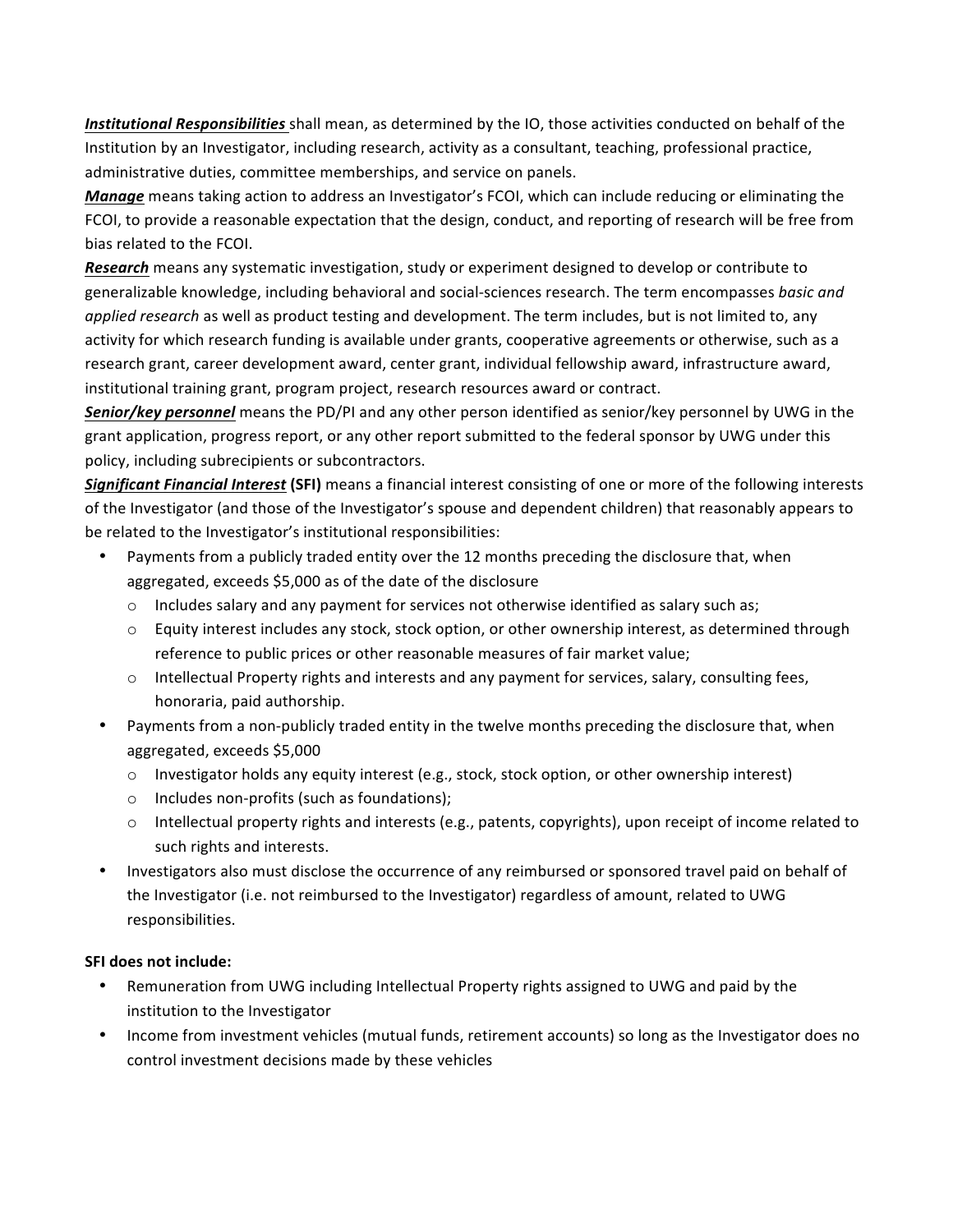Institutional Responsibilities shall mean, as determined by the IO, those activities conducted on behalf of the Institution by an Investigator, including research, activity as a consultant, teaching, professional practice, administrative duties, committee memberships, and service on panels.

*Manage* means taking action to address an Investigator's FCOI, which can include reducing or eliminating the FCOI, to provide a reasonable expectation that the design, conduct, and reporting of research will be free from bias related to the FCOI.

**Research** means any systematic investigation, study or experiment designed to develop or contribute to generalizable knowledge, including behavioral and social-sciences research. The term encompasses *basic and applied research* as well as product testing and development. The term includes, but is not limited to, any activity for which research funding is available under grants, cooperative agreements or otherwise, such as a research grant, career development award, center grant, individual fellowship award, infrastructure award, institutional training grant, program project, research resources award or contract.

**Senior/key personnel** means the PD/PI and any other person identified as senior/key personnel by UWG in the grant application, progress report, or any other report submitted to the federal sponsor by UWG under this policy, including subrecipients or subcontractors.

**Significant Financial Interest (SFI)** means a financial interest consisting of one or more of the following interests of the Investigator (and those of the Investigator's spouse and dependent children) that reasonably appears to be related to the Investigator's institutional responsibilities:

- Payments from a publicly traded entity over the 12 months preceding the disclosure that, when aggregated, exceeds \$5,000 as of the date of the disclosure
	- $\circ$  Includes salary and any payment for services not otherwise identified as salary such as;
	- $\circ$  Equity interest includes any stock, stock option, or other ownership interest, as determined through reference to public prices or other reasonable measures of fair market value;
	- $\circ$  Intellectual Property rights and interests and any payment for services, salary, consulting fees, honoraria, paid authorship.
- Payments from a non-publicly traded entity in the twelve months preceding the disclosure that, when aggregated, exceeds \$5,000
	- $\circ$  Investigator holds any equity interest (e.g., stock, stock option, or other ownership interest)
	- $\circ$  Includes non-profits (such as foundations);
	- $\circ$  Intellectual property rights and interests (e.g., patents, copyrights), upon receipt of income related to such rights and interests.
- Investigators also must disclose the occurrence of any reimbursed or sponsored travel paid on behalf of the Investigator (i.e. not reimbursed to the Investigator) regardless of amount, related to UWG responsibilities.

#### **SFI does not include:**

- Remuneration from UWG including Intellectual Property rights assigned to UWG and paid by the institution to the Investigator
- Income from investment vehicles (mutual funds, retirement accounts) so long as the Investigator does no control investment decisions made by these vehicles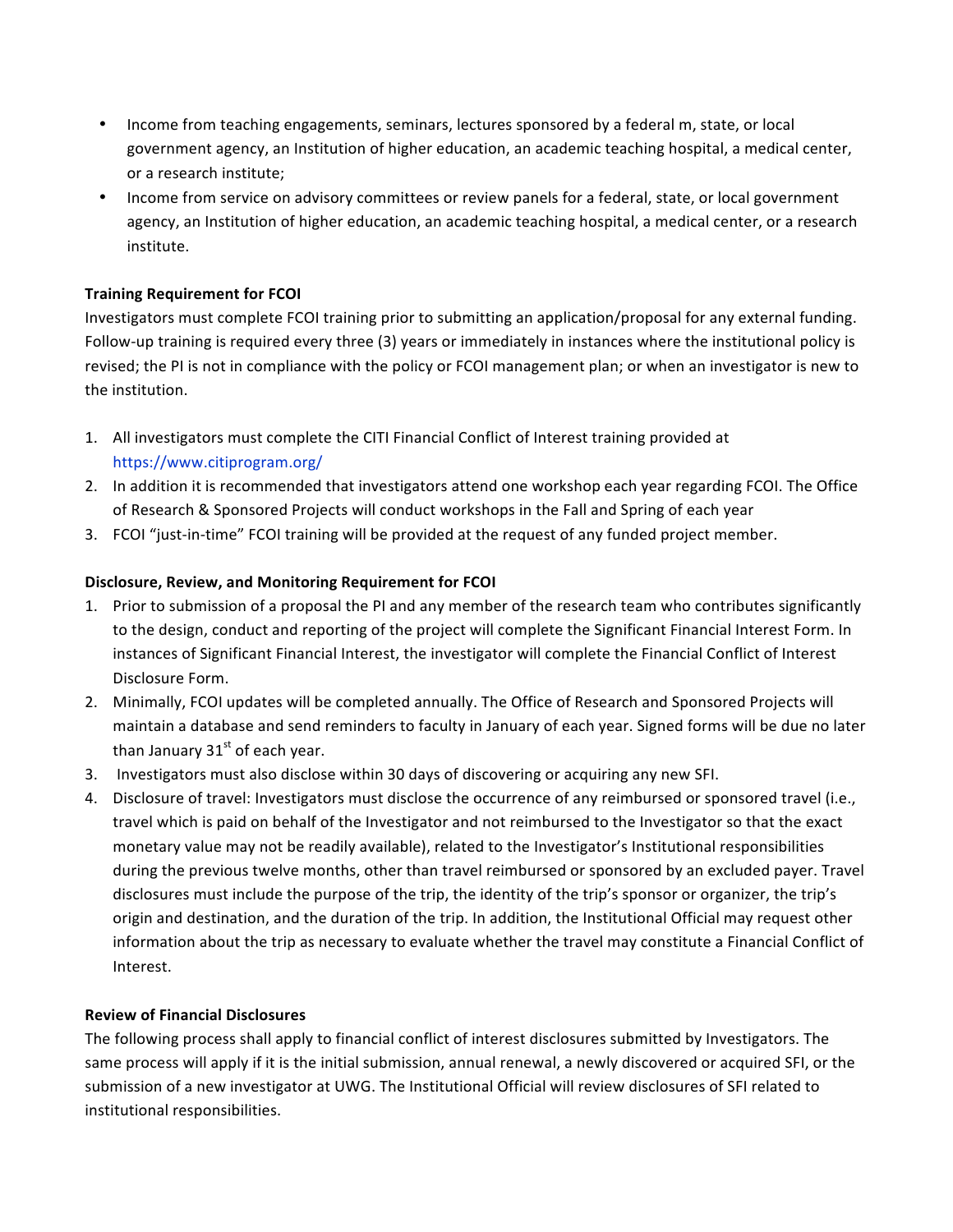- Income from teaching engagements, seminars, lectures sponsored by a federal m, state, or local government agency, an Institution of higher education, an academic teaching hospital, a medical center, or a research institute;
- Income from service on advisory committees or review panels for a federal, state, or local government agency, an Institution of higher education, an academic teaching hospital, a medical center, or a research institute.

### **Training Requirement for FCOI**

Investigators must complete FCOI training prior to submitting an application/proposal for any external funding. Follow-up training is required every three (3) years or immediately in instances where the institutional policy is revised; the PI is not in compliance with the policy or FCOI management plan; or when an investigator is new to the institution.

- 1. All investigators must complete the CITI Financial Conflict of Interest training provided at https://www.citiprogram.org/
- 2. In addition it is recommended that investigators attend one workshop each year regarding FCOI. The Office of Research & Sponsored Projects will conduct workshops in the Fall and Spring of each year
- 3. FCOI "just-in-time" FCOI training will be provided at the request of any funded project member.

## Disclosure, Review, and Monitoring Requirement for FCOI

- 1. Prior to submission of a proposal the PI and any member of the research team who contributes significantly to the design, conduct and reporting of the project will complete the Significant Financial Interest Form. In instances of Significant Financial Interest, the investigator will complete the Financial Conflict of Interest Disclosure Form.
- 2. Minimally, FCOI updates will be completed annually. The Office of Research and Sponsored Projects will maintain a database and send reminders to faculty in January of each year. Signed forms will be due no later than January  $31<sup>st</sup>$  of each year.
- 3. Investigators must also disclose within 30 days of discovering or acquiring any new SFI.
- 4. Disclosure of travel: Investigators must disclose the occurrence of any reimbursed or sponsored travel (i.e., travel which is paid on behalf of the Investigator and not reimbursed to the Investigator so that the exact monetary value may not be readily available), related to the Investigator's Institutional responsibilities during the previous twelve months, other than travel reimbursed or sponsored by an excluded payer. Travel disclosures must include the purpose of the trip, the identity of the trip's sponsor or organizer, the trip's origin and destination, and the duration of the trip. In addition, the Institutional Official may request other information about the trip as necessary to evaluate whether the travel may constitute a Financial Conflict of Interest.

#### **Review of Financial Disclosures**

The following process shall apply to financial conflict of interest disclosures submitted by Investigators. The same process will apply if it is the initial submission, annual renewal, a newly discovered or acquired SFI, or the submission of a new investigator at UWG. The Institutional Official will review disclosures of SFI related to institutional responsibilities.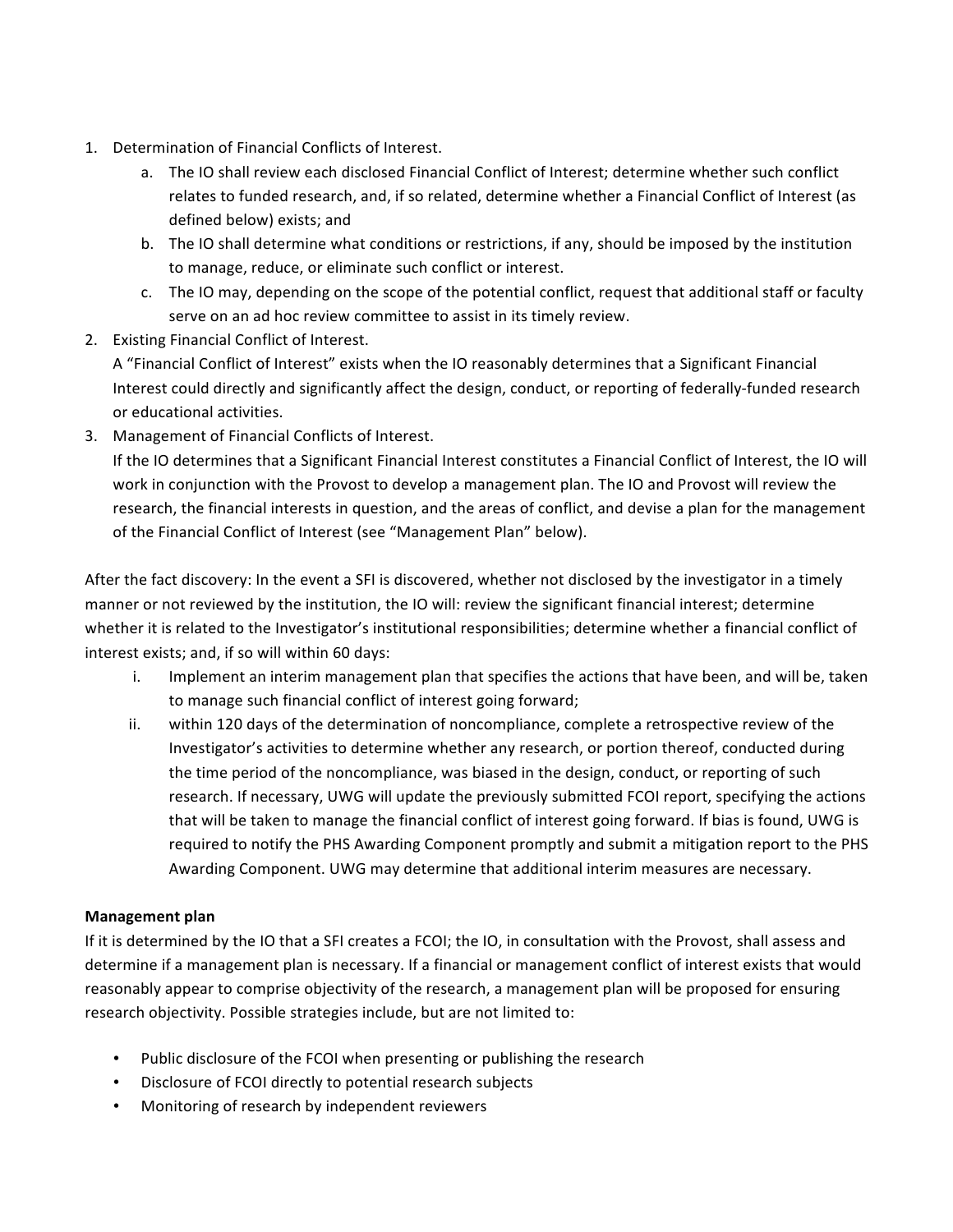- 1. Determination of Financial Conflicts of Interest.
	- a. The IO shall review each disclosed Financial Conflict of Interest; determine whether such conflict relates to funded research, and, if so related, determine whether a Financial Conflict of Interest (as defined below) exists; and
	- b. The IO shall determine what conditions or restrictions, if any, should be imposed by the institution to manage, reduce, or eliminate such conflict or interest.
	- c. The IO may, depending on the scope of the potential conflict, request that additional staff or faculty serve on an ad hoc review committee to assist in its timely review.
- 2. Existing Financial Conflict of Interest.

A "Financial Conflict of Interest" exists when the IO reasonably determines that a Significant Financial Interest could directly and significantly affect the design, conduct, or reporting of federally-funded research or educational activities.

3. Management of Financial Conflicts of Interest.

If the IO determines that a Significant Financial Interest constitutes a Financial Conflict of Interest, the IO will work in conjunction with the Provost to develop a management plan. The IO and Provost will review the research, the financial interests in question, and the areas of conflict, and devise a plan for the management of the Financial Conflict of Interest (see "Management Plan" below).

After the fact discovery: In the event a SFI is discovered, whether not disclosed by the investigator in a timely manner or not reviewed by the institution, the IO will: review the significant financial interest; determine whether it is related to the Investigator's institutional responsibilities; determine whether a financial conflict of interest exists; and, if so will within 60 days:

- i. Implement an interim management plan that specifies the actions that have been, and will be, taken to manage such financial conflict of interest going forward;
- ii. within 120 days of the determination of noncompliance, complete a retrospective review of the Investigator's activities to determine whether any research, or portion thereof, conducted during the time period of the noncompliance, was biased in the design, conduct, or reporting of such research. If necessary, UWG will update the previously submitted FCOI report, specifying the actions that will be taken to manage the financial conflict of interest going forward. If bias is found, UWG is required to notify the PHS Awarding Component promptly and submit a mitigation report to the PHS Awarding Component. UWG may determine that additional interim measures are necessary.

#### **Management plan**

If it is determined by the IO that a SFI creates a FCOI; the IO, in consultation with the Provost, shall assess and determine if a management plan is necessary. If a financial or management conflict of interest exists that would reasonably appear to comprise objectivity of the research, a management plan will be proposed for ensuring research objectivity. Possible strategies include, but are not limited to:

- Public disclosure of the FCOI when presenting or publishing the research
- Disclosure of FCOI directly to potential research subjects
- Monitoring of research by independent reviewers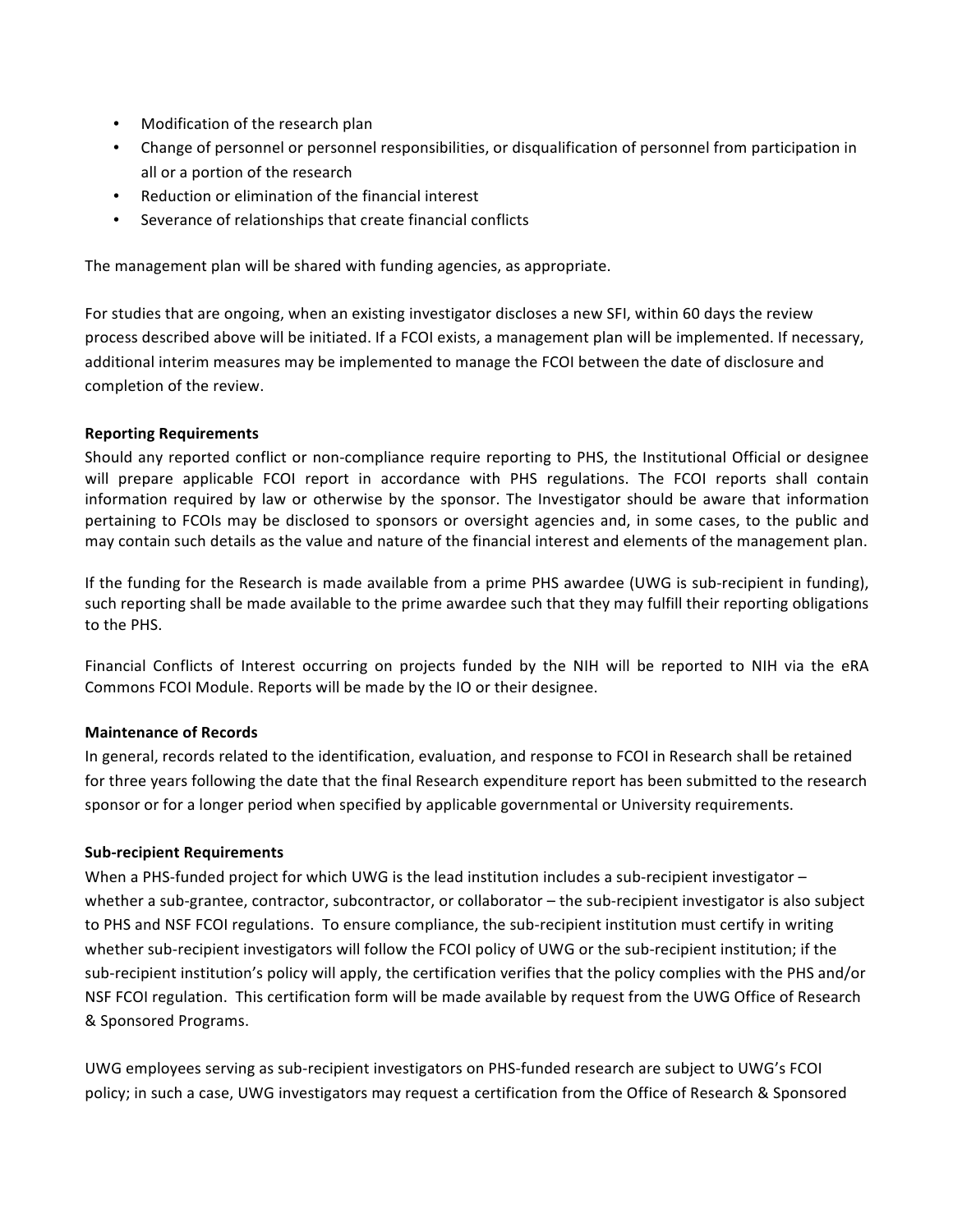- Modification of the research plan
- Change of personnel or personnel responsibilities, or disqualification of personnel from participation in all or a portion of the research
- Reduction or elimination of the financial interest
- Severance of relationships that create financial conflicts

The management plan will be shared with funding agencies, as appropriate.

For studies that are ongoing, when an existing investigator discloses a new SFI, within 60 days the review process described above will be initiated. If a FCOI exists, a management plan will be implemented. If necessary, additional interim measures may be implemented to manage the FCOI between the date of disclosure and completion of the review.

## **Reporting Requirements**

Should any reported conflict or non-compliance require reporting to PHS, the Institutional Official or designee will prepare applicable FCOI report in accordance with PHS regulations. The FCOI reports shall contain information required by law or otherwise by the sponsor. The Investigator should be aware that information pertaining to FCOIs may be disclosed to sponsors or oversight agencies and, in some cases, to the public and may contain such details as the value and nature of the financial interest and elements of the management plan.

If the funding for the Research is made available from a prime PHS awardee (UWG is sub-recipient in funding), such reporting shall be made available to the prime awardee such that they may fulfill their reporting obligations to the PHS.

Financial Conflicts of Interest occurring on projects funded by the NIH will be reported to NIH via the eRA Commons FCOI Module. Reports will be made by the IO or their designee.

#### **Maintenance of Records**

In general, records related to the identification, evaluation, and response to FCOI in Research shall be retained for three years following the date that the final Research expenditure report has been submitted to the research sponsor or for a longer period when specified by applicable governmental or University requirements.

#### **Sub-recipient Requirements**

When a PHS-funded project for which UWG is the lead institution includes a sub-recipient investigator  $$ whether a sub-grantee, contractor, subcontractor, or collaborator – the sub-recipient investigator is also subject to PHS and NSF FCOI regulations. To ensure compliance, the sub-recipient institution must certify in writing whether sub-recipient investigators will follow the FCOI policy of UWG or the sub-recipient institution; if the sub-recipient institution's policy will apply, the certification verifies that the policy complies with the PHS and/or NSF FCOI regulation. This certification form will be made available by request from the UWG Office of Research & Sponsored Programs.

UWG employees serving as sub-recipient investigators on PHS-funded research are subject to UWG's FCOI policy; in such a case, UWG investigators may request a certification from the Office of Research & Sponsored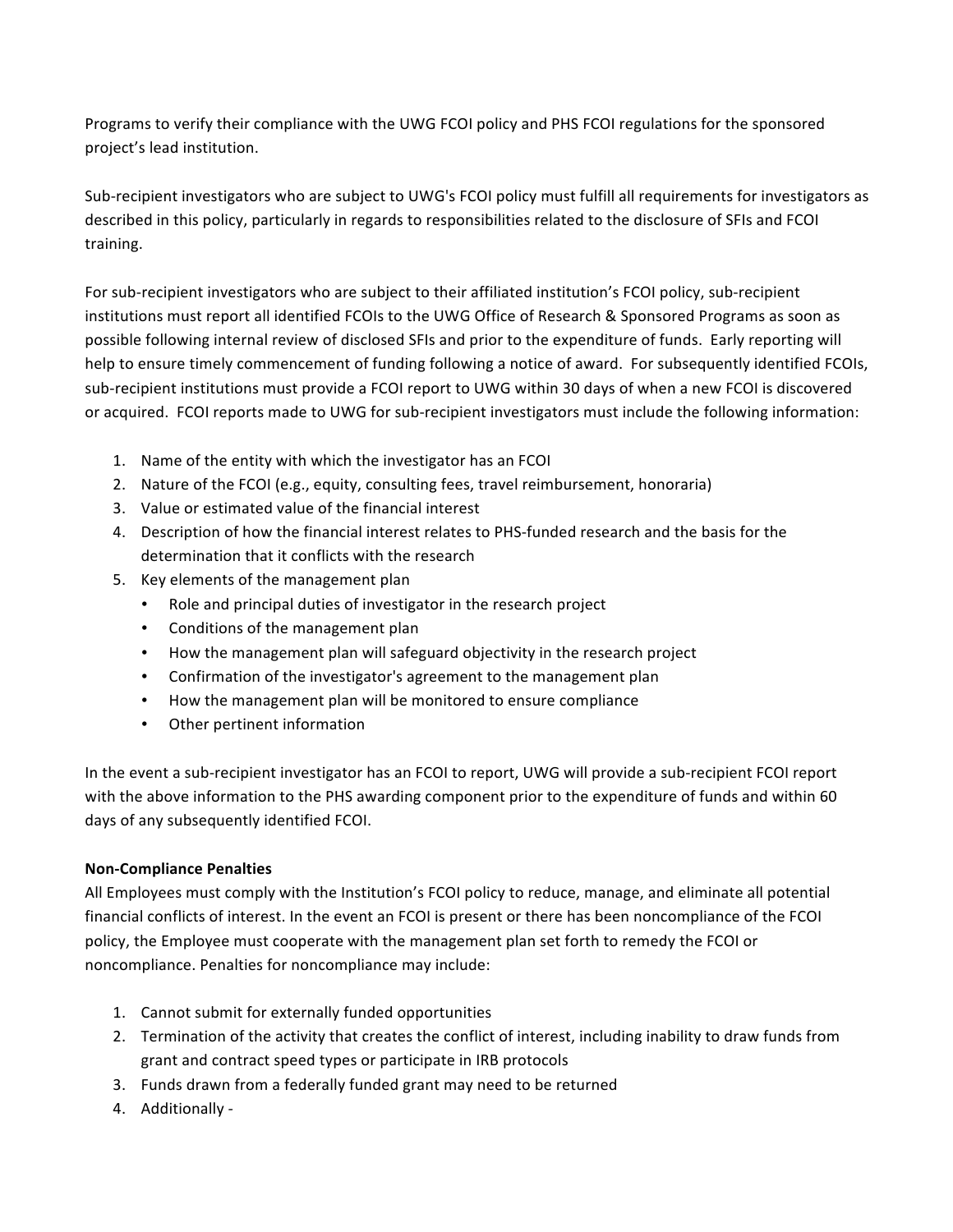Programs to verify their compliance with the UWG FCOI policy and PHS FCOI regulations for the sponsored project's lead institution.

Sub-recipient investigators who are subject to UWG's FCOI policy must fulfill all requirements for investigators as described in this policy, particularly in regards to responsibilities related to the disclosure of SFIs and FCOI training. 

For sub-recipient investigators who are subject to their affiliated institution's FCOI policy, sub-recipient institutions must report all identified FCOIs to the UWG Office of Research & Sponsored Programs as soon as possible following internal review of disclosed SFIs and prior to the expenditure of funds. Early reporting will help to ensure timely commencement of funding following a notice of award. For subsequently identified FCOIs, sub-recipient institutions must provide a FCOI report to UWG within 30 days of when a new FCOI is discovered or acquired. FCOI reports made to UWG for sub-recipient investigators must include the following information:

- 1. Name of the entity with which the investigator has an FCOI
- 2. Nature of the FCOI (e.g., equity, consulting fees, travel reimbursement, honoraria)
- 3. Value or estimated value of the financial interest
- 4. Description of how the financial interest relates to PHS-funded research and the basis for the determination that it conflicts with the research
- 5. Key elements of the management plan
	- Role and principal duties of investigator in the research project
	- Conditions of the management plan
	- How the management plan will safeguard objectivity in the research project
	- Confirmation of the investigator's agreement to the management plan
	- How the management plan will be monitored to ensure compliance
	- Other pertinent information

In the event a sub-recipient investigator has an FCOI to report, UWG will provide a sub-recipient FCOI report with the above information to the PHS awarding component prior to the expenditure of funds and within 60 days of any subsequently identified FCOI.

## **Non-Compliance Penalties**

All Employees must comply with the Institution's FCOI policy to reduce, manage, and eliminate all potential financial conflicts of interest. In the event an FCOI is present or there has been noncompliance of the FCOI policy, the Employee must cooperate with the management plan set forth to remedy the FCOI or noncompliance. Penalties for noncompliance may include:

- 1. Cannot submit for externally funded opportunities
- 2. Termination of the activity that creates the conflict of interest, including inability to draw funds from grant and contract speed types or participate in IRB protocols
- 3. Funds drawn from a federally funded grant may need to be returned
- 4. Additionally *-*